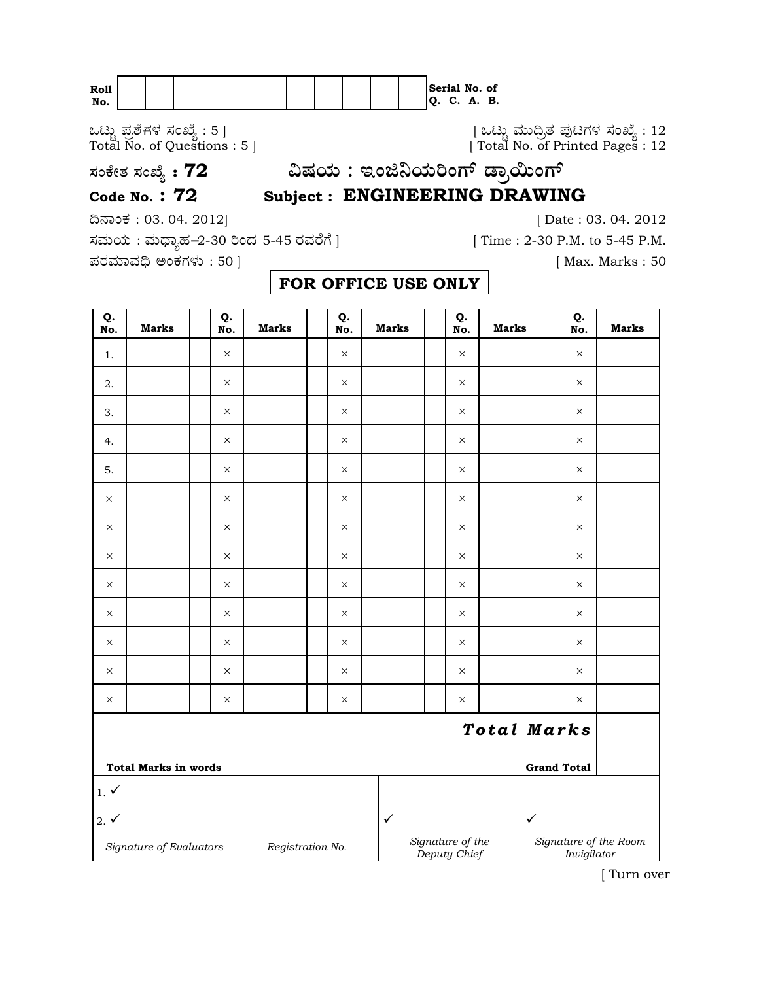| Roll |  |  |  |  |  |     |    | Serial No. of |    |
|------|--|--|--|--|--|-----|----|---------------|----|
| No.  |  |  |  |  |  | IQ. | C. | А.            | в. |

Jlflo Æ⁄√ÀÊ-V⁄◊⁄ —⁄MSÊ¿ : 5 ] [ Jlflo »⁄flfl¶√}⁄ Æ⁄'¥lV⁄◊⁄ —⁄MSÊ¿ : 12 Total No. of Questions : 5 ] [ Total No. of Printed Pages : 12

# **—⁄MOÊfi}⁄ —⁄MSÊ¿ : <sup>72</sup>…Œ⁄æ⁄fl : BMf¨æ⁄fl¬MVÈ s¤√øflMVÈ Code No. : 72 Subject : ENGINEERING DRAWING**

¶´¤MO⁄ : 03. 04. 2012] [ Date : 03. 04. 2012 ಸಮಯ : ಮಧ್ಯಾಹ-2-30 ರಿಂದ 5-45 ರವರೆಗೆ ]

ಹರಮಾವಧಿ ಅಂಕಗಳು : 50 ]

| Q.<br>No.       | <b>Marks</b>                | Q.<br>No. | <b>Marks</b> | Q.<br>No.        | <b>Marks</b> | Q.<br>No.                        | <b>Marks</b> | Q.<br>No.                            | <b>Marks</b> |
|-----------------|-----------------------------|-----------|--------------|------------------|--------------|----------------------------------|--------------|--------------------------------------|--------------|
| $1.$            |                             | $\times$  |              | $\times$         |              | $\times$                         |              | $\times$                             |              |
| 2.              |                             | $\times$  |              | $\times$         |              | $\times$                         |              | $\times$                             |              |
| 3.              |                             | $\times$  |              | $\times$         |              | $\times$                         |              | $\times$                             |              |
| 4.              |                             | $\times$  |              | $\times$         |              | $\times$                         |              | $\times$                             |              |
| 5.              |                             | $\times$  |              | $\times$         |              | X                                |              | $\times$                             |              |
| $\times$        |                             | $\times$  |              | $\times$         |              | $\times$                         |              | $\times$                             |              |
| $\times$        |                             | $\times$  |              | $\times$         |              | $\times$                         |              | $\times$                             |              |
| $\times$        |                             | $\times$  |              | $\times$         |              | $\times$                         |              | $\times$                             |              |
| $\times$        |                             | $\times$  |              | $\times$         |              | $\times$                         |              | $\times$                             |              |
| $\times$        |                             | $\times$  |              | $\times$         |              | $\times$                         |              | $\times$                             |              |
| $\times$        |                             | $\times$  |              | $\times$         |              | $\times$                         |              | $\times$                             |              |
| $\times$        |                             | $\times$  |              | $\times$         |              | $\times$                         |              | $\times$                             |              |
| $\times$        |                             | $\times$  |              | $\times$         |              | $\times$                         |              | $\times$                             |              |
|                 |                             |           |              |                  |              |                                  |              | Total Marks                          |              |
|                 | <b>Total Marks in words</b> |           |              |                  |              |                                  |              | <b>Grand Total</b>                   |              |
| $1. \checkmark$ |                             |           |              |                  |              |                                  |              |                                      |              |
| $2. \checkmark$ |                             |           |              |                  | $\checkmark$ |                                  | $\checkmark$ |                                      |              |
|                 | Signature of Evaluators     |           |              | Registration No. |              | Signature of the<br>Deputy Chief |              | Signature of the Room<br>Invigilator |              |

## **FOR OFFICE USE ONLY**

[ Turn over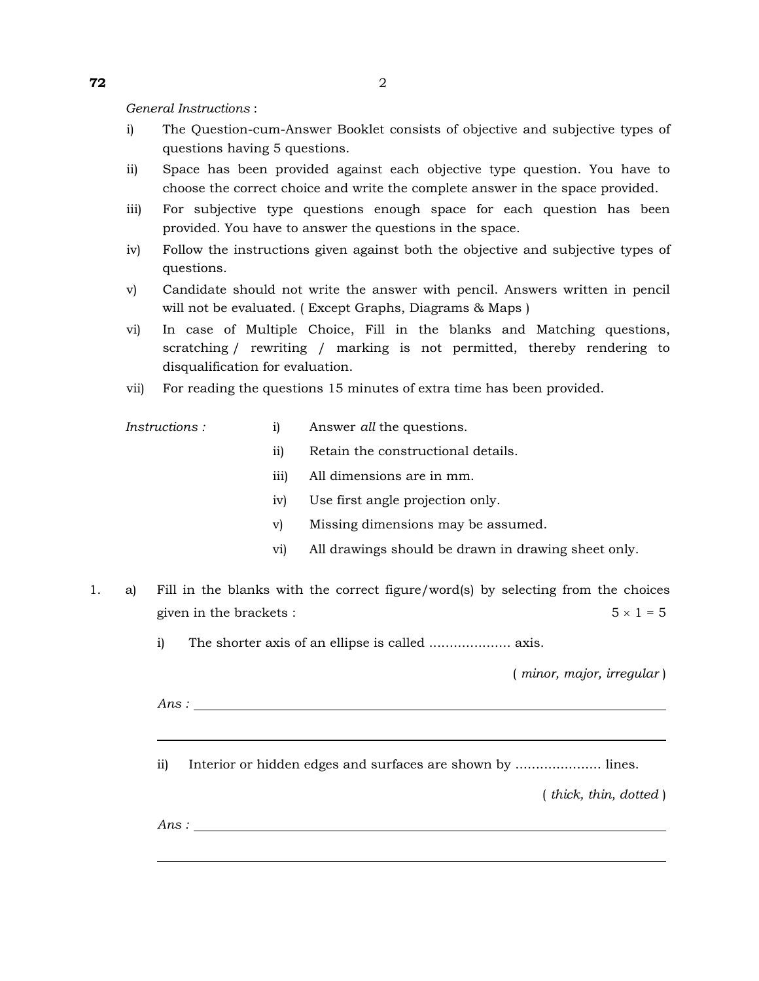*General Instructions* :

- i) The Question-cum-Answer Booklet consists of objective and subjective types of questions having 5 questions.
- ii) Space has been provided against each objective type question. You have to choose the correct choice and write the complete answer in the space provided.
- iii) For subjective type questions enough space for each question has been provided. You have to answer the questions in the space.
- iv) Follow the instructions given against both the objective and subjective types of questions.
- v) Candidate should not write the answer with pencil. Answers written in pencil will not be evaluated. ( Except Graphs, Diagrams & Maps )
- vi) In case of Multiple Choice, Fill in the blanks and Matching questions, scratching / rewriting / marking is not permitted, thereby rendering to disqualification for evaluation.
- vii) For reading the questions 15 minutes of extra time has been provided.

- *Instructions :* i) Answer *all* the questions.
	- ii) Retain the constructional details.
	- iii) All dimensions are in mm.
	- iv) Use first angle projection only.
	- v) Missing dimensions may be assumed.
	- vi) All drawings should be drawn in drawing sheet only.
- 1. a) Fill in the blanks with the correct figure/word(s) by selecting from the choices given in the brackets :  $5 \times 1 = 5$

i) The shorter axis of an ellipse is called ..................... axis.

( *minor, major, irregular* )

 *Ans :*

ii) Interior or hidden edges and surfaces are shown by ..................... lines.

( *thick, thin, dotted* )

 *Ans :*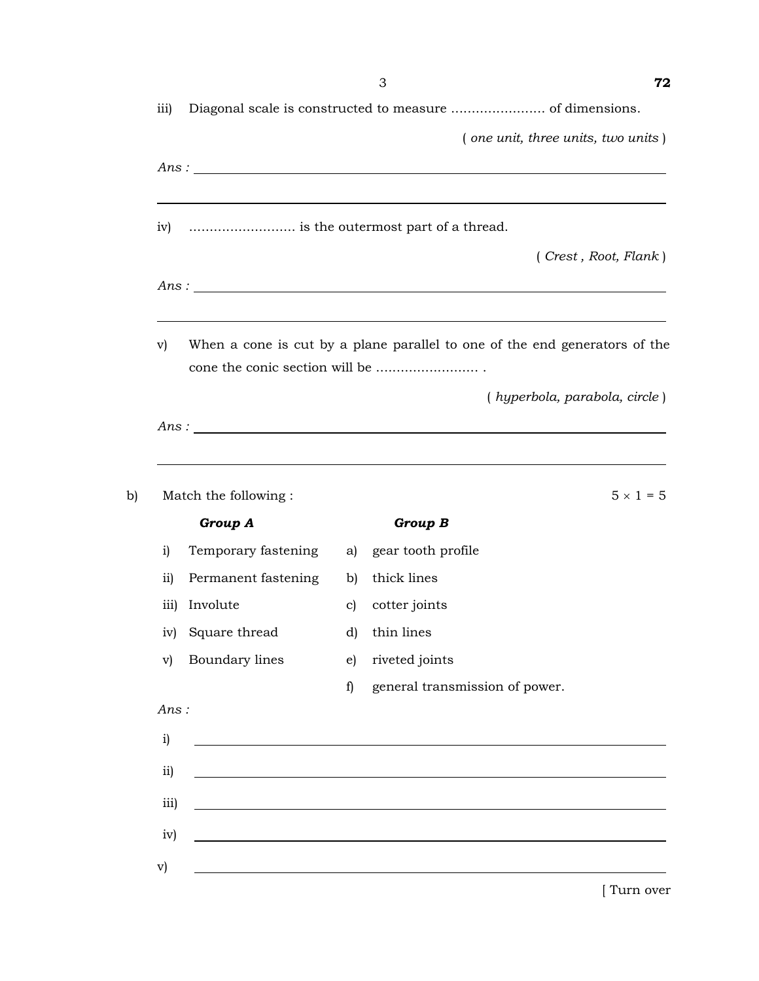iii) Diagonal scale is constructed to measure ....................... of dimensions.

|                 |                                |              |                                                                                                                     | (one unit, three units, two units)                                         |
|-----------------|--------------------------------|--------------|---------------------------------------------------------------------------------------------------------------------|----------------------------------------------------------------------------|
|                 | Ans:                           |              |                                                                                                                     |                                                                            |
|                 |                                |              |                                                                                                                     |                                                                            |
|                 |                                |              |                                                                                                                     | (Crest, Root, Flash)                                                       |
|                 | Ans:                           |              |                                                                                                                     |                                                                            |
| $\mathbf{v})$   |                                |              |                                                                                                                     | When a cone is cut by a plane parallel to one of the end generators of the |
|                 | cone the conic section will be |              |                                                                                                                     |                                                                            |
|                 |                                |              |                                                                                                                     | (hyperbola, parabola, circle)                                              |
|                 | Ans:                           |              |                                                                                                                     |                                                                            |
|                 |                                |              |                                                                                                                     |                                                                            |
|                 |                                |              |                                                                                                                     |                                                                            |
| b)              | Match the following:           |              |                                                                                                                     | $5 \times 1 = 5$                                                           |
|                 | <b>Group A</b>                 |              | <b>Group B</b>                                                                                                      |                                                                            |
| i)              | Temporary fastening            | a)           | gear tooth profile                                                                                                  |                                                                            |
| $\overline{ii}$ | Permanent fastening            | $\mathbf{b}$ | thick lines                                                                                                         |                                                                            |
| iii)            | Involute                       | $\mathbf{c}$ | cotter joints                                                                                                       |                                                                            |
| iv)             | Square thread                  | d)           | thin lines                                                                                                          |                                                                            |
| $\mathbf{v})$   | Boundary lines                 | $\epsilon$ ) | riveted joints                                                                                                      |                                                                            |
|                 |                                |              | f) general transmission of power.                                                                                   |                                                                            |
| Ans:            |                                |              |                                                                                                                     |                                                                            |
| i)              |                                |              |                                                                                                                     |                                                                            |
| ii)             |                                |              |                                                                                                                     |                                                                            |
| iii)            |                                |              | <u> 1989 - Johann Harry Barn, mars ar breithinn ar breithinn ar breithinn ar breithinn ar breithinn ar breithin</u> |                                                                            |
| iv)             |                                |              |                                                                                                                     |                                                                            |

3 **72**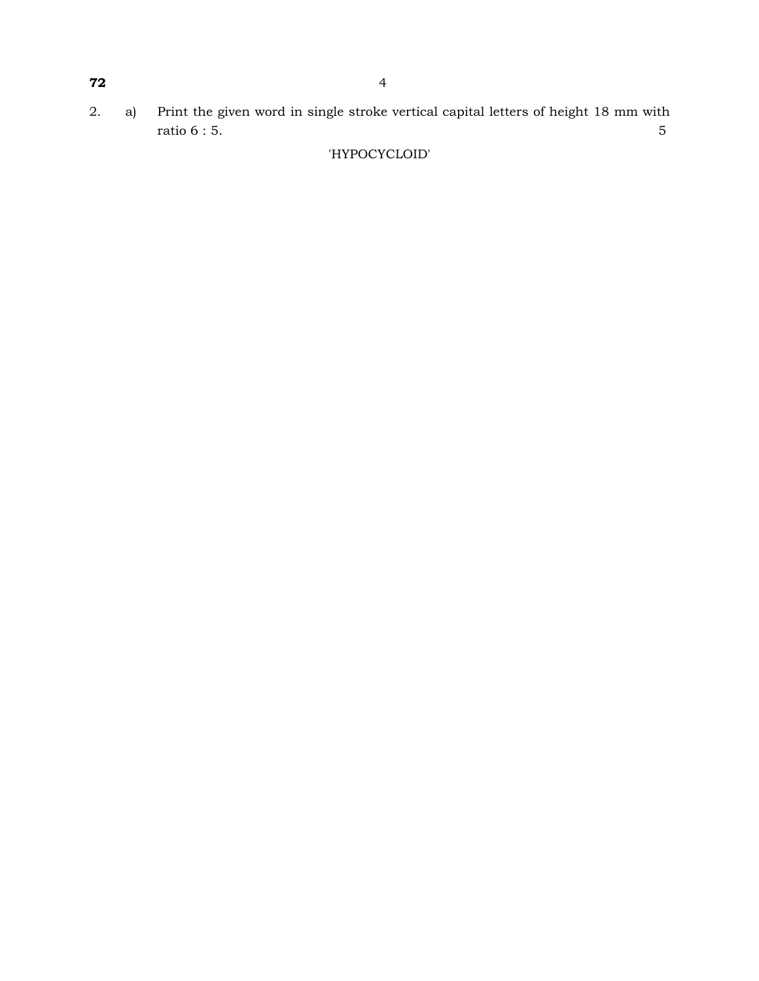2. Print the given word in single stroke vertical capital letters of height 18 mm with a) ratio  $6:5$ .  $\overline{5}$ 

## 'HYPOCYCLOID'

## $\bf 72$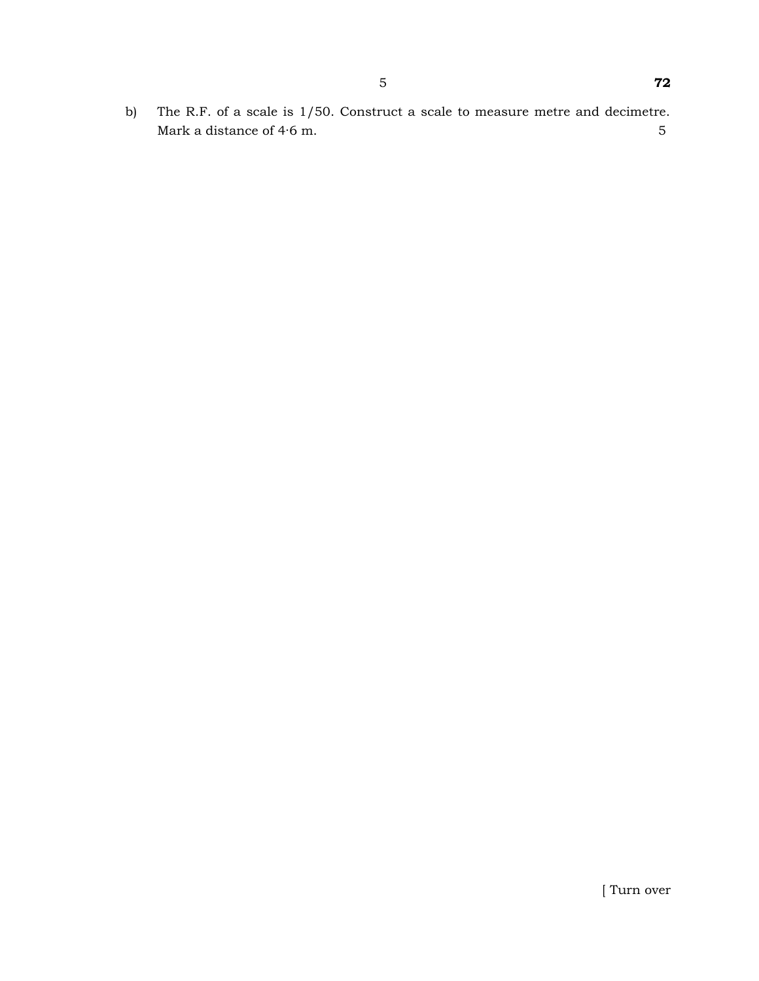b) The R.F. of a scale is 1/50. Construct a scale to measure metre and decimetre. Mark a distance of 4<sup>·6</sup> m.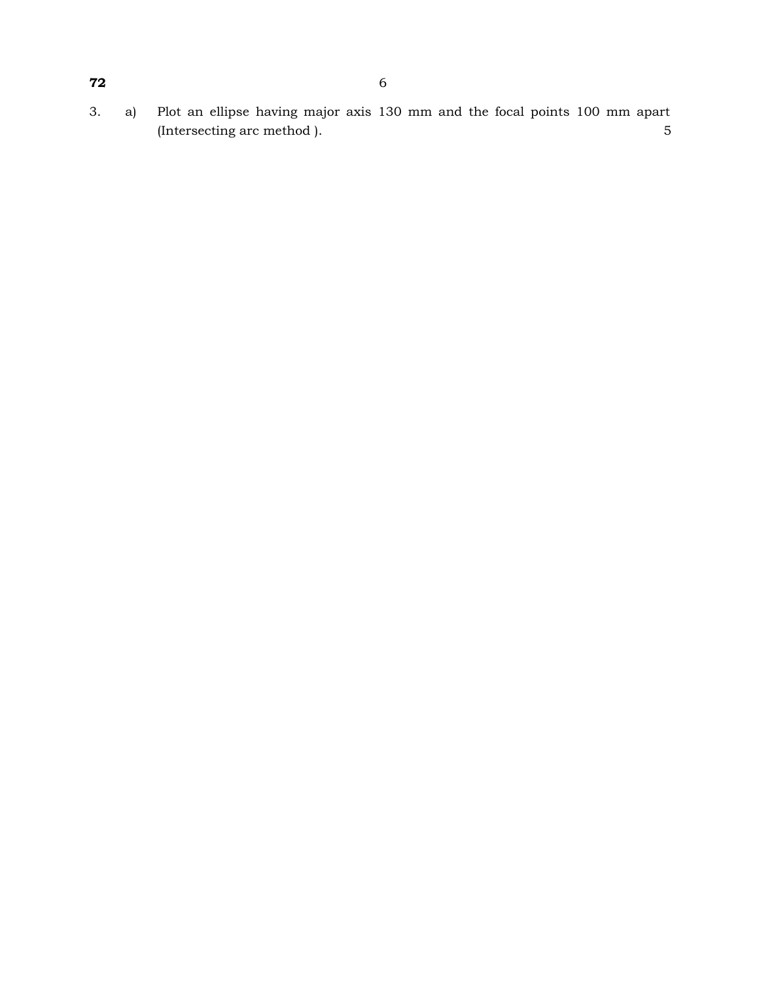$\bf 72$ 

3. Plot an ellipse having major axis 130 mm and the focal points 100 mm apart a) (Intersecting arc method).  $\sqrt{5}$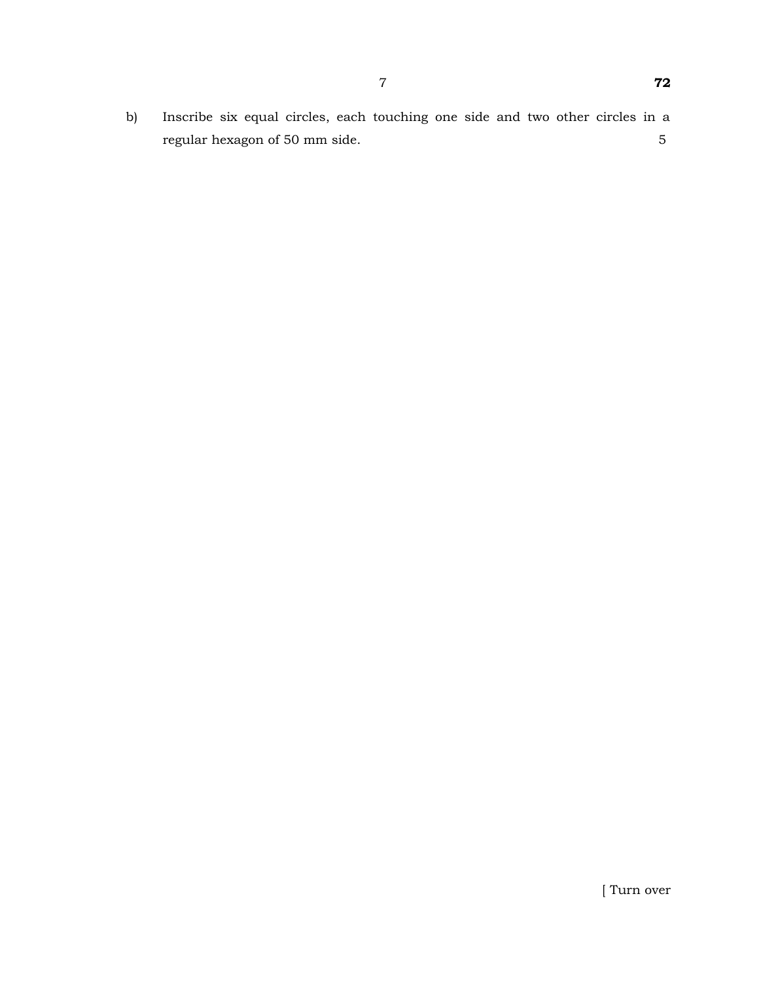b) Inscribe six equal circles, each touching one side and two other circles in a regular hexagon of 50 mm side. 5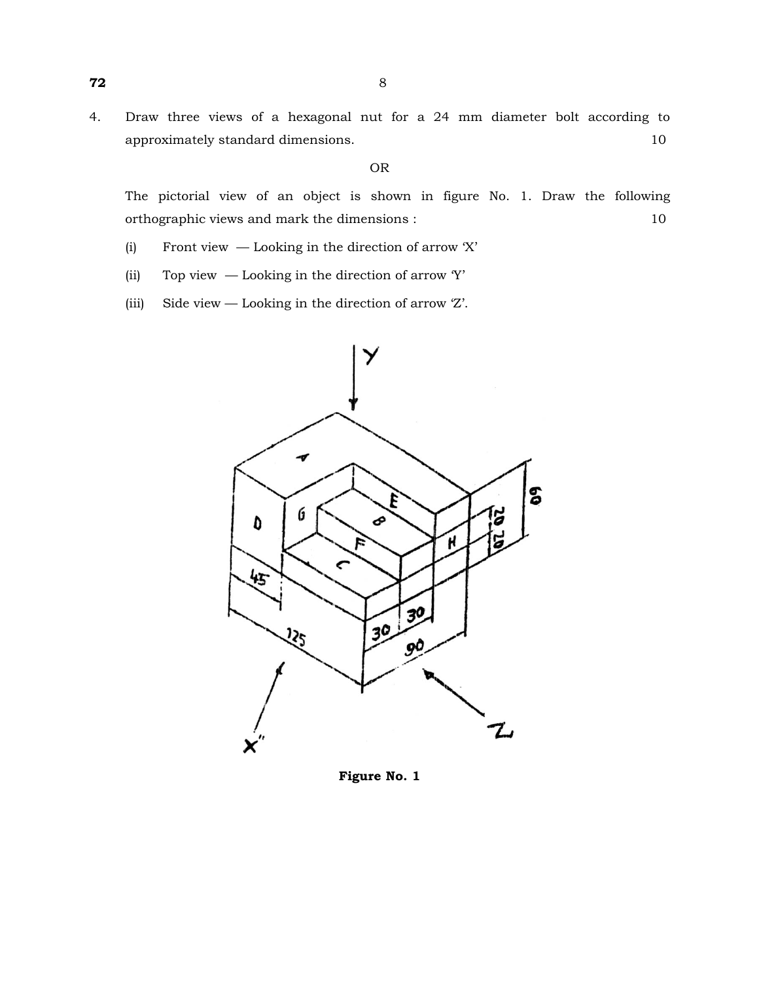4. Draw three views of a hexagonal nut for a 24 mm diameter bolt according to approximately standard dimensions. 10

### OR

 The pictorial view of an object is shown in figure No. 1. Draw the following orthographic views and mark the dimensions :  $10$ 

- (i) Front view Looking in the direction of arrow 'X'
- (ii) Top view  $-$  Looking in the direction of arrow  $Y'$

(iii) Side view — Looking in the direction of arrow 'Z'.



**Figure No. 1** 

#### **72** 8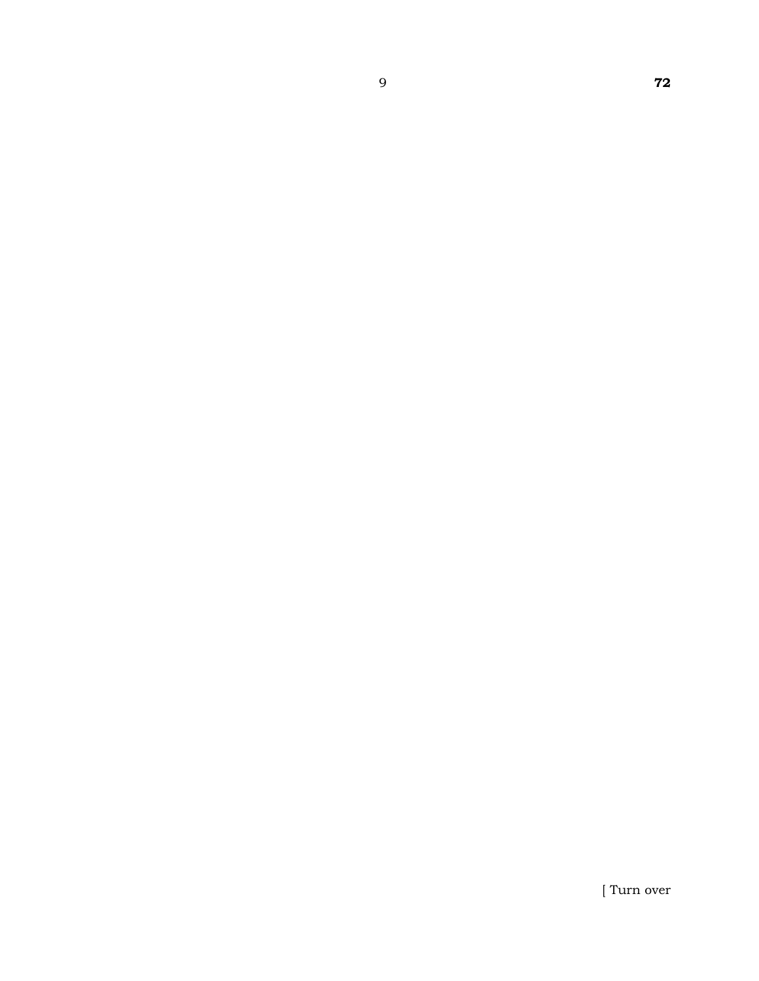72

 $\overline{9}$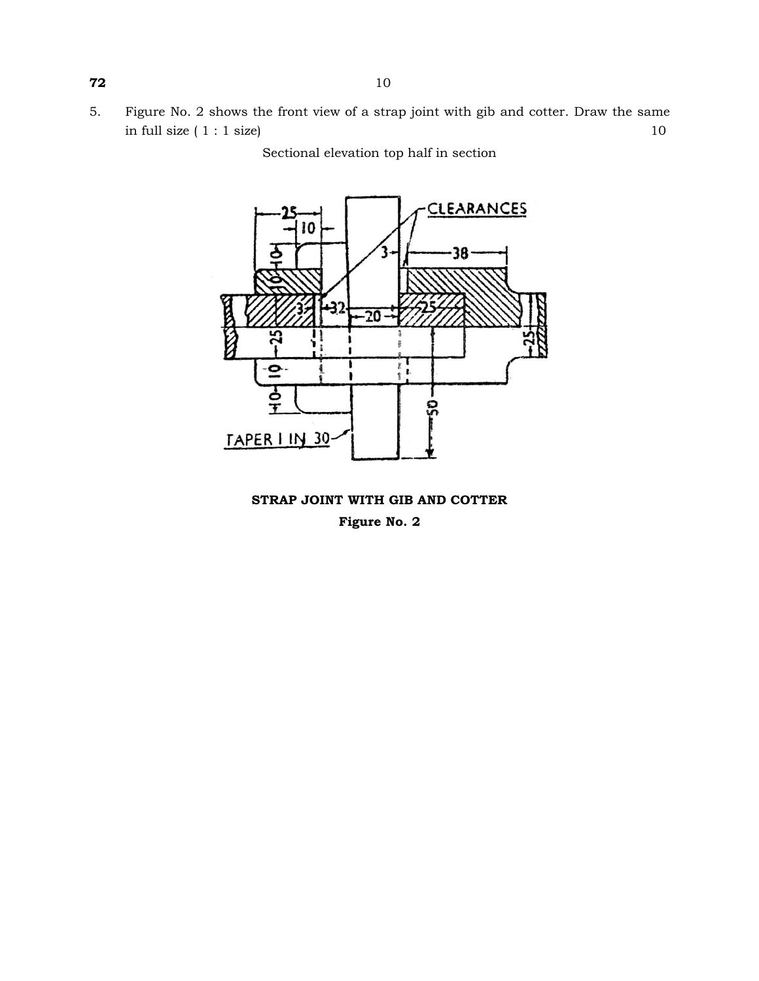5. Figure No. 2 shows the front view of a strap joint with gib and cotter. Draw the same  $\int$  in full size  $(1:1 \text{ size})$  10

> CLEARANCES 10 1 38 20  $\tilde{\mathbf{c}}$ ı. **POF** င္ဂွ TAPER I IN 30

Sectional elevation top half in section

### **STRAP JOINT WITH GIB AND COTTER**

**Figure No. 2**